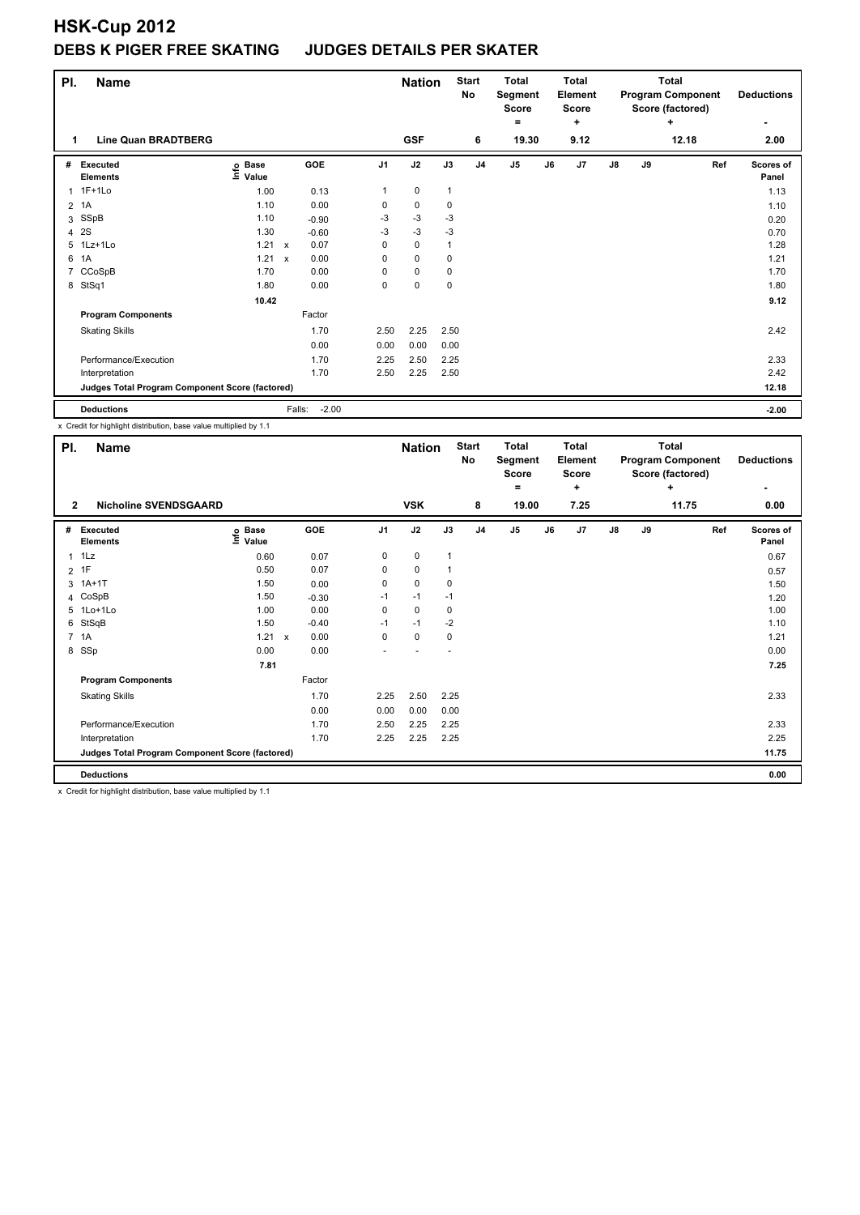| PI.            | <b>Name</b>                                     |                                  |              |         |                | <b>Nation</b> |              | <b>Start</b><br>No | <b>Total</b><br>Segment<br>Score<br>= |    | Total<br>Element<br><b>Score</b><br>÷ |               |    | Total<br><b>Program Component</b><br>Score (factored)<br>٠ | <b>Deductions</b>  |
|----------------|-------------------------------------------------|----------------------------------|--------------|---------|----------------|---------------|--------------|--------------------|---------------------------------------|----|---------------------------------------|---------------|----|------------------------------------------------------------|--------------------|
| 1              | <b>Line Quan BRADTBERG</b>                      |                                  |              |         |                | <b>GSF</b>    |              | 6                  | 19.30                                 |    | 9.12                                  |               |    | 12.18                                                      | 2.00               |
| #              | <b>Executed</b><br><b>Elements</b>              | <b>Base</b><br>e Base<br>⊆ Value |              | GOE     | J <sub>1</sub> | J2            | J3           | J <sub>4</sub>     | J <sub>5</sub>                        | J6 | J7                                    | $\mathsf{J}8$ | J9 | Ref                                                        | Scores of<br>Panel |
| 1              | $1F+1Lo$                                        | 1.00                             |              | 0.13    | 1              | 0             | 1            |                    |                                       |    |                                       |               |    |                                                            | 1.13               |
| $\overline{2}$ | 1A                                              | 1.10                             |              | 0.00    | 0              | $\pmb{0}$     | 0            |                    |                                       |    |                                       |               |    |                                                            | 1.10               |
| 3              | SSpB                                            | 1.10                             |              | $-0.90$ | $-3$           | $-3$          | $-3$         |                    |                                       |    |                                       |               |    |                                                            | 0.20               |
| 4              | 2S                                              | 1.30                             |              | $-0.60$ | $-3$           | $-3$          | $-3$         |                    |                                       |    |                                       |               |    |                                                            | 0.70               |
| 5              | $1Lz+1Lo$                                       | 1.21                             | $\mathsf{x}$ | 0.07    | 0              | $\mathbf 0$   | $\mathbf{1}$ |                    |                                       |    |                                       |               |    |                                                            | 1.28               |
| 6              | 1A                                              | 1.21                             | $\mathsf{x}$ | 0.00    | 0              | $\mathbf 0$   | 0            |                    |                                       |    |                                       |               |    |                                                            | 1.21               |
| 7              | CCoSpB                                          | 1.70                             |              | 0.00    | 0              | $\mathbf 0$   | 0            |                    |                                       |    |                                       |               |    |                                                            | 1.70               |
|                | 8 StSq1                                         | 1.80                             |              | 0.00    | 0              | $\mathbf 0$   | $\mathbf 0$  |                    |                                       |    |                                       |               |    |                                                            | 1.80               |
|                |                                                 | 10.42                            |              |         |                |               |              |                    |                                       |    |                                       |               |    |                                                            | 9.12               |
|                | <b>Program Components</b>                       |                                  |              | Factor  |                |               |              |                    |                                       |    |                                       |               |    |                                                            |                    |
|                | <b>Skating Skills</b>                           |                                  |              | 1.70    | 2.50           | 2.25          | 2.50         |                    |                                       |    |                                       |               |    |                                                            | 2.42               |
|                |                                                 |                                  |              | 0.00    | 0.00           | 0.00          | 0.00         |                    |                                       |    |                                       |               |    |                                                            |                    |
|                | Performance/Execution                           |                                  |              | 1.70    | 2.25           | 2.50          | 2.25         |                    |                                       |    |                                       |               |    |                                                            | 2.33               |
|                | Interpretation                                  |                                  |              | 1.70    | 2.50           | 2.25          | 2.50         |                    |                                       |    |                                       |               |    |                                                            | 2.42               |
|                | Judges Total Program Component Score (factored) |                                  |              |         |                |               |              |                    |                                       |    |                                       |               |    |                                                            | 12.18              |
|                | <b>Deductions</b>                               |                                  | Falls:       | $-2.00$ |                |               |              |                    |                                       |    |                                       |               |    |                                                            | $-2.00$            |

x Credit for highlight distribution, base value multiplied by 1.1

| PI.            | <b>Name</b>                                     |                                  |              |         |                | <b>Nation</b> |      | <b>Start</b><br>No | <b>Total</b><br>Segment<br><b>Score</b> |    | Total<br><b>Element</b><br><b>Score</b> |               |    | <b>Total</b><br><b>Program Component</b><br>Score (factored) | <b>Deductions</b>  |
|----------------|-------------------------------------------------|----------------------------------|--------------|---------|----------------|---------------|------|--------------------|-----------------------------------------|----|-----------------------------------------|---------------|----|--------------------------------------------------------------|--------------------|
| $\overline{2}$ | <b>Nicholine SVENDSGAARD</b>                    |                                  |              |         |                | <b>VSK</b>    |      | 8                  | ۰<br>19.00                              |    | ٠<br>7.25                               |               |    | ÷<br>11.75                                                   | 0.00               |
|                |                                                 |                                  |              |         |                |               |      |                    |                                         |    |                                         |               |    |                                                              |                    |
| #              | <b>Executed</b><br><b>Elements</b>              | <b>Base</b><br>e Base<br>⊆ Value |              | GOE     | J <sub>1</sub> | J2            | J3   | J <sub>4</sub>     | J <sub>5</sub>                          | J6 | J7                                      | $\mathsf{J}8$ | J9 | Ref                                                          | Scores of<br>Panel |
| $\mathbf{1}$   | 1Lz                                             | 0.60                             |              | 0.07    | 0              | 0             | 1    |                    |                                         |    |                                         |               |    |                                                              | 0.67               |
| $\overline{2}$ | 1F                                              | 0.50                             |              | 0.07    | 0              | 0             |      |                    |                                         |    |                                         |               |    |                                                              | 0.57               |
|                | 3 1A+1T                                         | 1.50                             |              | 0.00    | 0              | $\mathbf 0$   | 0    |                    |                                         |    |                                         |               |    |                                                              | 1.50               |
| 4              | CoSpB                                           | 1.50                             |              | $-0.30$ | $-1$           | $-1$          | $-1$ |                    |                                         |    |                                         |               |    |                                                              | 1.20               |
|                | 5 1Lo+1Lo                                       | 1.00                             |              | 0.00    | 0              | $\mathbf 0$   | 0    |                    |                                         |    |                                         |               |    |                                                              | 1.00               |
| 6              | StSqB                                           | 1.50                             |              | $-0.40$ | $-1$           | $-1$          | $-2$ |                    |                                         |    |                                         |               |    |                                                              | 1.10               |
|                | 7 1A                                            | 1.21                             | $\mathsf{x}$ | 0.00    | 0              | $\mathbf 0$   | 0    |                    |                                         |    |                                         |               |    |                                                              | 1.21               |
|                | 8 SSp                                           | 0.00                             |              | 0.00    | ٠              |               | ٠    |                    |                                         |    |                                         |               |    |                                                              | 0.00               |
|                |                                                 | 7.81                             |              |         |                |               |      |                    |                                         |    |                                         |               |    |                                                              | 7.25               |
|                | <b>Program Components</b>                       |                                  |              | Factor  |                |               |      |                    |                                         |    |                                         |               |    |                                                              |                    |
|                | <b>Skating Skills</b>                           |                                  |              | 1.70    | 2.25           | 2.50          | 2.25 |                    |                                         |    |                                         |               |    |                                                              | 2.33               |
|                |                                                 |                                  |              | 0.00    | 0.00           | 0.00          | 0.00 |                    |                                         |    |                                         |               |    |                                                              |                    |
|                | Performance/Execution                           |                                  |              | 1.70    | 2.50           | 2.25          | 2.25 |                    |                                         |    |                                         |               |    |                                                              | 2.33               |
|                | Interpretation                                  |                                  |              | 1.70    | 2.25           | 2.25          | 2.25 |                    |                                         |    |                                         |               |    |                                                              | 2.25               |
|                | Judges Total Program Component Score (factored) |                                  |              |         |                |               |      |                    |                                         |    |                                         |               |    |                                                              | 11.75              |
|                | <b>Deductions</b>                               |                                  |              |         |                |               |      |                    |                                         |    |                                         |               |    |                                                              | 0.00               |

x Credit for highlight distribution, base value multiplied by 1.1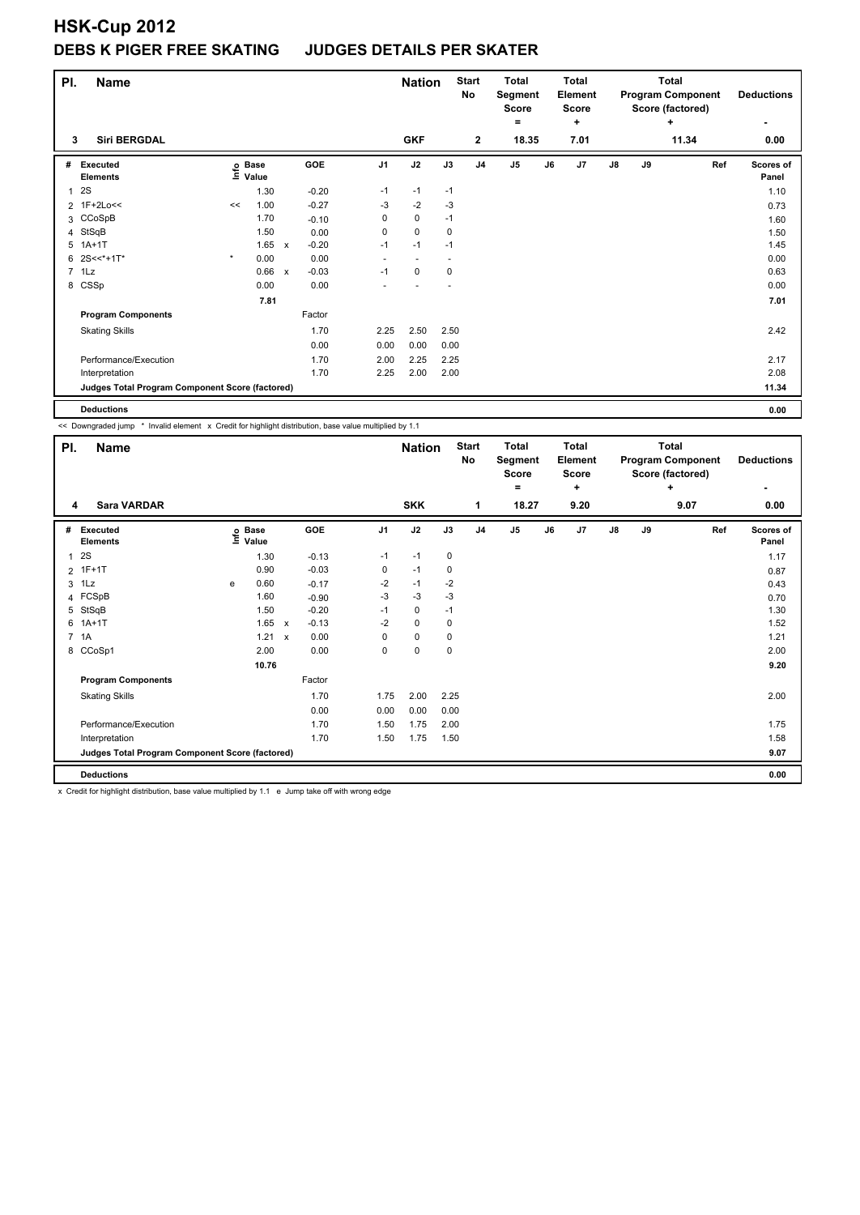| PI. | <b>Name</b>                                     |         |                   |              |         |                | <b>Nation</b> |             | <b>Start</b><br><b>No</b> | <b>Total</b><br>Segment<br><b>Score</b><br>۰ |    | <b>Total</b><br>Element<br><b>Score</b><br>٠ |               |    | <b>Total</b><br><b>Program Component</b><br>Score (factored)<br>٠ | <b>Deductions</b><br>٠    |
|-----|-------------------------------------------------|---------|-------------------|--------------|---------|----------------|---------------|-------------|---------------------------|----------------------------------------------|----|----------------------------------------------|---------------|----|-------------------------------------------------------------------|---------------------------|
| 3   | <b>Siri BERGDAL</b>                             |         |                   |              |         |                | <b>GKF</b>    |             | $\mathbf{2}$              | 18.35                                        |    | 7.01                                         |               |    | 11.34                                                             | 0.00                      |
| #   | Executed<br><b>Elements</b>                     |         | e Base<br>⊆ Value |              | GOE     | J <sub>1</sub> | J2            | J3          | J <sub>4</sub>            | J5                                           | J6 | J <sub>7</sub>                               | $\mathsf{J}8$ | J9 | Ref                                                               | <b>Scores of</b><br>Panel |
| 1   | 2S                                              |         | 1.30              |              | $-0.20$ | $-1$           | $-1$          | $-1$        |                           |                                              |    |                                              |               |    |                                                                   | 1.10                      |
|     | 2 1F+2Lo<<                                      | <<      | 1.00              |              | $-0.27$ | -3             | $-2$          | -3          |                           |                                              |    |                                              |               |    |                                                                   | 0.73                      |
|     | 3 CCoSpB                                        |         | 1.70              |              | $-0.10$ | 0              | $\mathbf 0$   | $-1$        |                           |                                              |    |                                              |               |    |                                                                   | 1.60                      |
| 4   | StSqB                                           |         | 1.50              |              | 0.00    | 0              | $\mathbf 0$   | $\mathbf 0$ |                           |                                              |    |                                              |               |    |                                                                   | 1.50                      |
| 5   | $1A+1T$                                         |         | 1.65              | $\mathsf{x}$ | $-0.20$ | $-1$           | $-1$          | $-1$        |                           |                                              |    |                                              |               |    |                                                                   | 1.45                      |
| 6   | $2S < * + 1T*$                                  | $\star$ | 0.00              |              | 0.00    | ٠              | -             |             |                           |                                              |    |                                              |               |    |                                                                   | 0.00                      |
|     | 7 1Lz                                           |         | 0.66              | $\mathsf{x}$ | $-0.03$ | $-1$           | $\pmb{0}$     | $\pmb{0}$   |                           |                                              |    |                                              |               |    |                                                                   | 0.63                      |
|     | 8 CSSp                                          |         | 0.00              |              | 0.00    |                |               |             |                           |                                              |    |                                              |               |    |                                                                   | 0.00                      |
|     |                                                 |         | 7.81              |              |         |                |               |             |                           |                                              |    |                                              |               |    |                                                                   | 7.01                      |
|     | <b>Program Components</b>                       |         |                   |              | Factor  |                |               |             |                           |                                              |    |                                              |               |    |                                                                   |                           |
|     | <b>Skating Skills</b>                           |         |                   |              | 1.70    | 2.25           | 2.50          | 2.50        |                           |                                              |    |                                              |               |    |                                                                   | 2.42                      |
|     |                                                 |         |                   |              | 0.00    | 0.00           | 0.00          | 0.00        |                           |                                              |    |                                              |               |    |                                                                   |                           |
|     | Performance/Execution                           |         |                   |              | 1.70    | 2.00           | 2.25          | 2.25        |                           |                                              |    |                                              |               |    |                                                                   | 2.17                      |
|     | Interpretation                                  |         |                   |              | 1.70    | 2.25           | 2.00          | 2.00        |                           |                                              |    |                                              |               |    |                                                                   | 2.08                      |
|     | Judges Total Program Component Score (factored) |         |                   |              |         |                |               |             |                           |                                              |    |                                              |               |    |                                                                   | 11.34                     |
|     | <b>Deductions</b>                               |         |                   |              |         |                |               |             |                           |                                              |    |                                              |               |    |                                                                   | 0.00                      |

<< Downgraded jump \* Invalid element x Credit for highlight distribution, base value multiplied by 1.1

|   | <b>Name</b><br>PI.                              |   |                   |              |         |                | <b>Nation</b> |      | <b>Start</b><br>No | Total<br>Segment<br><b>Score</b> |    | Total<br>Element<br><b>Score</b> |               |    | <b>Total</b><br><b>Program Component</b><br>Score (factored) | <b>Deductions</b>  |
|---|-------------------------------------------------|---|-------------------|--------------|---------|----------------|---------------|------|--------------------|----------------------------------|----|----------------------------------|---------------|----|--------------------------------------------------------------|--------------------|
| 4 | <b>Sara VARDAR</b>                              |   |                   |              |         |                | <b>SKK</b>    |      | 1                  | ٠<br>18.27                       |    | ٠<br>9.20                        |               |    | ٠<br>9.07                                                    | ٠<br>0.00          |
| # | Executed<br><b>Elements</b>                     |   | e Base<br>⊆ Value |              | GOE     | J <sub>1</sub> | J2            | J3   | J <sub>4</sub>     | J <sub>5</sub>                   | J6 | J <sub>7</sub>                   | $\mathsf{J}8$ | J9 | Ref                                                          | Scores of<br>Panel |
| 1 | 2S                                              |   | 1.30              |              | $-0.13$ | $-1$           | $-1$          | 0    |                    |                                  |    |                                  |               |    |                                                              | 1.17               |
|   | 2 1F+1T                                         |   | 0.90              |              | $-0.03$ | 0              | $-1$          | 0    |                    |                                  |    |                                  |               |    |                                                              | 0.87               |
|   | $3$ 1 Lz                                        | e | 0.60              |              | $-0.17$ | $-2$           | $-1$          | $-2$ |                    |                                  |    |                                  |               |    |                                                              | 0.43               |
|   | 4 FCSpB                                         |   | 1.60              |              | $-0.90$ | $-3$           | $-3$          | $-3$ |                    |                                  |    |                                  |               |    |                                                              | 0.70               |
| 5 | StSqB                                           |   | 1.50              |              | $-0.20$ | $-1$           | $\mathbf 0$   | $-1$ |                    |                                  |    |                                  |               |    |                                                              | 1.30               |
| 6 | $1A+1T$                                         |   | 1.65              | $\mathsf{x}$ | $-0.13$ | $-2$           | $\mathbf 0$   | 0    |                    |                                  |    |                                  |               |    |                                                              | 1.52               |
|   | 7 1A                                            |   | 1.21              | $\mathsf{x}$ | 0.00    | 0              | $\mathbf 0$   | 0    |                    |                                  |    |                                  |               |    |                                                              | 1.21               |
|   | 8 CCoSp1                                        |   | 2.00              |              | 0.00    | 0              | $\mathbf 0$   | 0    |                    |                                  |    |                                  |               |    |                                                              | 2.00               |
|   |                                                 |   | 10.76             |              |         |                |               |      |                    |                                  |    |                                  |               |    |                                                              | 9.20               |
|   | <b>Program Components</b>                       |   |                   |              | Factor  |                |               |      |                    |                                  |    |                                  |               |    |                                                              |                    |
|   | <b>Skating Skills</b>                           |   |                   |              | 1.70    | 1.75           | 2.00          | 2.25 |                    |                                  |    |                                  |               |    |                                                              | 2.00               |
|   |                                                 |   |                   |              | 0.00    | 0.00           | 0.00          | 0.00 |                    |                                  |    |                                  |               |    |                                                              |                    |
|   | Performance/Execution                           |   |                   |              | 1.70    | 1.50           | 1.75          | 2.00 |                    |                                  |    |                                  |               |    |                                                              | 1.75               |
|   | Interpretation                                  |   |                   |              | 1.70    | 1.50           | 1.75          | 1.50 |                    |                                  |    |                                  |               |    |                                                              | 1.58               |
|   | Judges Total Program Component Score (factored) |   |                   |              |         |                |               |      |                    |                                  |    |                                  |               |    |                                                              | 9.07               |
|   | <b>Deductions</b>                               |   |                   |              |         |                |               |      |                    |                                  |    |                                  |               |    |                                                              | 0.00               |

x Credit for highlight distribution, base value multiplied by 1.1 e Jump take off with wrong edge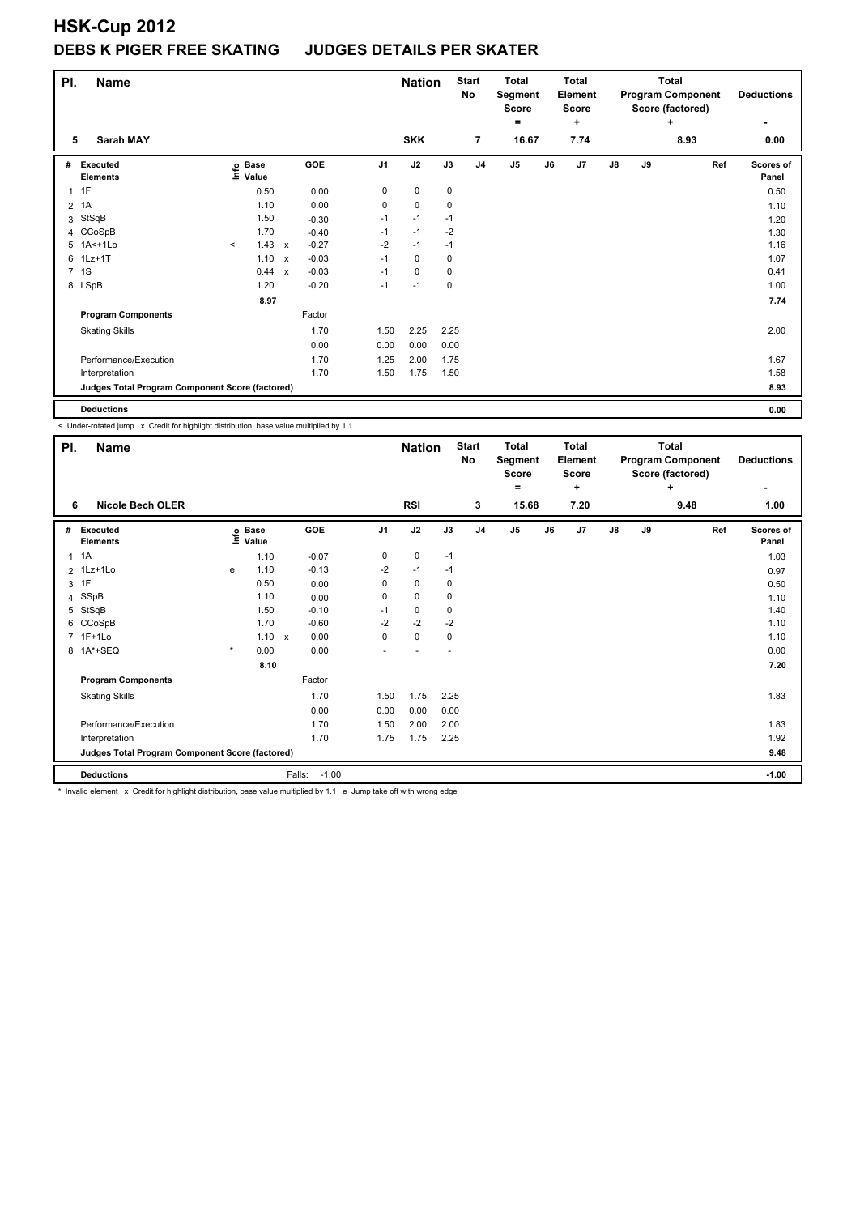| PI.            | <b>Name</b>                                     |         |                                  |                           | <b>Nation</b> |                | <b>Start</b><br>No | <b>Total</b><br>Segment<br><b>Score</b><br>۰ |                |                | <b>Total</b><br>Element<br><b>Score</b><br>÷ |    |      | <b>Total</b><br><b>Program Component</b><br>Score (factored)<br>÷ |    | <b>Deductions</b> |     |                    |
|----------------|-------------------------------------------------|---------|----------------------------------|---------------------------|---------------|----------------|--------------------|----------------------------------------------|----------------|----------------|----------------------------------------------|----|------|-------------------------------------------------------------------|----|-------------------|-----|--------------------|
| 5              | <b>Sarah MAY</b>                                |         |                                  |                           |               |                | <b>SKK</b>         |                                              | $\overline{7}$ |                | 16.67                                        |    | 7.74 |                                                                   |    | 8.93              |     | 0.00               |
| #              | Executed<br><b>Elements</b>                     |         | <b>Base</b><br>e Base<br>⊑ Value |                           | <b>GOE</b>    | J <sub>1</sub> | J2                 | J3                                           | J <sub>4</sub> | J <sub>5</sub> |                                              | J6 | J7   | J8                                                                | J9 |                   | Ref | Scores of<br>Panel |
| $\mathbf{1}$   | 1F                                              |         | 0.50                             |                           | 0.00          | 0              | 0                  | 0                                            |                |                |                                              |    |      |                                                                   |    |                   |     | 0.50               |
| $\overline{2}$ | 1A                                              |         | 1.10                             |                           | 0.00          | 0              | $\pmb{0}$          | 0                                            |                |                |                                              |    |      |                                                                   |    |                   |     | 1.10               |
| 3              | StSqB                                           |         | 1.50                             |                           | $-0.30$       | $-1$           | $-1$               | $-1$                                         |                |                |                                              |    |      |                                                                   |    |                   |     | 1.20               |
|                | 4 CCoSpB                                        |         | 1.70                             |                           | $-0.40$       | $-1$           | $-1$               | $-2$                                         |                |                |                                              |    |      |                                                                   |    |                   |     | 1.30               |
|                | 5 1A<+1Lo                                       | $\prec$ | 1.43                             | $\mathsf{x}$              | $-0.27$       | $-2$           | $-1$               | $-1$                                         |                |                |                                              |    |      |                                                                   |    |                   |     | 1.16               |
| 6              | $1$ Lz $+1$ T                                   |         | 1.10                             | $\boldsymbol{\mathsf{x}}$ | $-0.03$       | $-1$           | 0                  | 0                                            |                |                |                                              |    |      |                                                                   |    |                   |     | 1.07               |
|                | 7 1S                                            |         | 0.44                             | $\boldsymbol{\mathsf{x}}$ | $-0.03$       | $-1$           | $\mathbf 0$        | 0                                            |                |                |                                              |    |      |                                                                   |    |                   |     | 0.41               |
|                | 8 LSpB                                          |         | 1.20                             |                           | $-0.20$       | $-1$           | $-1$               | 0                                            |                |                |                                              |    |      |                                                                   |    |                   |     | 1.00               |
|                |                                                 |         | 8.97                             |                           |               |                |                    |                                              |                |                |                                              |    |      |                                                                   |    |                   |     | 7.74               |
|                | <b>Program Components</b>                       |         |                                  |                           | Factor        |                |                    |                                              |                |                |                                              |    |      |                                                                   |    |                   |     |                    |
|                | <b>Skating Skills</b>                           |         |                                  |                           | 1.70          | 1.50           | 2.25               | 2.25                                         |                |                |                                              |    |      |                                                                   |    |                   |     | 2.00               |
|                |                                                 |         |                                  |                           | 0.00          | 0.00           | 0.00               | 0.00                                         |                |                |                                              |    |      |                                                                   |    |                   |     |                    |
|                | Performance/Execution                           |         |                                  |                           | 1.70          | 1.25           | 2.00               | 1.75                                         |                |                |                                              |    |      |                                                                   |    |                   |     | 1.67               |
|                | Interpretation                                  |         |                                  |                           | 1.70          | 1.50           | 1.75               | 1.50                                         |                |                |                                              |    |      |                                                                   |    |                   |     | 1.58               |
|                | Judges Total Program Component Score (factored) |         |                                  |                           |               |                |                    |                                              |                |                |                                              |    |      |                                                                   |    |                   |     | 8.93               |
|                | <b>Deductions</b>                               |         |                                  |                           |               |                |                    |                                              |                |                |                                              |    |      |                                                                   |    |                   |     | 0.00               |

< Under-rotated jump x Credit for highlight distribution, base value multiplied by 1.1

| PI.          | <b>Name</b>                                     |         |                            |                   |                | <b>Nation</b> |      | <b>Start</b><br>No | <b>Total</b><br>Segment<br><b>Score</b> |    | <b>Total</b><br>Element<br><b>Score</b> |    |    | <b>Total</b><br><b>Program Component</b><br>Score (factored) | <b>Deductions</b>  |
|--------------|-------------------------------------------------|---------|----------------------------|-------------------|----------------|---------------|------|--------------------|-----------------------------------------|----|-----------------------------------------|----|----|--------------------------------------------------------------|--------------------|
|              |                                                 |         |                            |                   |                |               |      |                    | ۰                                       |    | ٠                                       |    |    | ÷                                                            |                    |
| 6            | <b>Nicole Bech OLER</b>                         |         |                            |                   |                | <b>RSI</b>    |      | 3                  | 15.68                                   |    | 7.20                                    |    |    | 9.48                                                         | 1.00               |
| #            | Executed<br><b>Elements</b>                     |         | e Base<br>⊆ Value<br>Value | GOE               | J <sub>1</sub> | J2            | J3   | J <sub>4</sub>     | J <sub>5</sub>                          | J6 | J7                                      | J8 | J9 | Ref                                                          | Scores of<br>Panel |
| $\mathbf{1}$ | 1A                                              |         | 1.10                       | $-0.07$           | 0              | 0             | $-1$ |                    |                                         |    |                                         |    |    |                                                              | 1.03               |
|              | 2 1Lz+1Lo                                       | e       | 1.10                       | $-0.13$           | $-2$           | $-1$          | $-1$ |                    |                                         |    |                                         |    |    |                                                              | 0.97               |
|              | 3 1F                                            |         | 0.50                       | 0.00              | 0              | $\mathbf 0$   | 0    |                    |                                         |    |                                         |    |    |                                                              | 0.50               |
| 4            | SSpB                                            |         | 1.10                       | 0.00              | 0              | $\pmb{0}$     | 0    |                    |                                         |    |                                         |    |    |                                                              | 1.10               |
| 5            | StSqB                                           |         | 1.50                       | $-0.10$           | $-1$           | 0             | 0    |                    |                                         |    |                                         |    |    |                                                              | 1.40               |
| 6            | CCoSpB                                          |         | 1.70                       | $-0.60$           | $-2$           | $-2$          | $-2$ |                    |                                         |    |                                         |    |    |                                                              | 1.10               |
|              | 7 1F+1Lo                                        |         | $1.10 \times$              | 0.00              | 0              | $\mathbf 0$   | 0    |                    |                                         |    |                                         |    |    |                                                              | 1.10               |
|              | 8 1A*+SEQ                                       | $\star$ | 0.00                       | 0.00              |                |               |      |                    |                                         |    |                                         |    |    |                                                              | 0.00               |
|              |                                                 |         | 8.10                       |                   |                |               |      |                    |                                         |    |                                         |    |    |                                                              | 7.20               |
|              | <b>Program Components</b>                       |         |                            | Factor            |                |               |      |                    |                                         |    |                                         |    |    |                                                              |                    |
|              | <b>Skating Skills</b>                           |         |                            | 1.70              | 1.50           | 1.75          | 2.25 |                    |                                         |    |                                         |    |    |                                                              | 1.83               |
|              |                                                 |         |                            | 0.00              | 0.00           | 0.00          | 0.00 |                    |                                         |    |                                         |    |    |                                                              |                    |
|              | Performance/Execution                           |         |                            | 1.70              | 1.50           | 2.00          | 2.00 |                    |                                         |    |                                         |    |    |                                                              | 1.83               |
|              | Interpretation                                  |         |                            | 1.70              | 1.75           | 1.75          | 2.25 |                    |                                         |    |                                         |    |    |                                                              | 1.92               |
|              | Judges Total Program Component Score (factored) |         |                            |                   |                |               |      |                    |                                         |    |                                         |    |    |                                                              | 9.48               |
|              | <b>Deductions</b>                               |         |                            | $-1.00$<br>Falls: |                |               |      |                    |                                         |    |                                         |    |    |                                                              | $-1.00$            |

\* Invalid element x Credit for highlight distribution, base value multiplied by 1.1 e Jump take off with wrong edge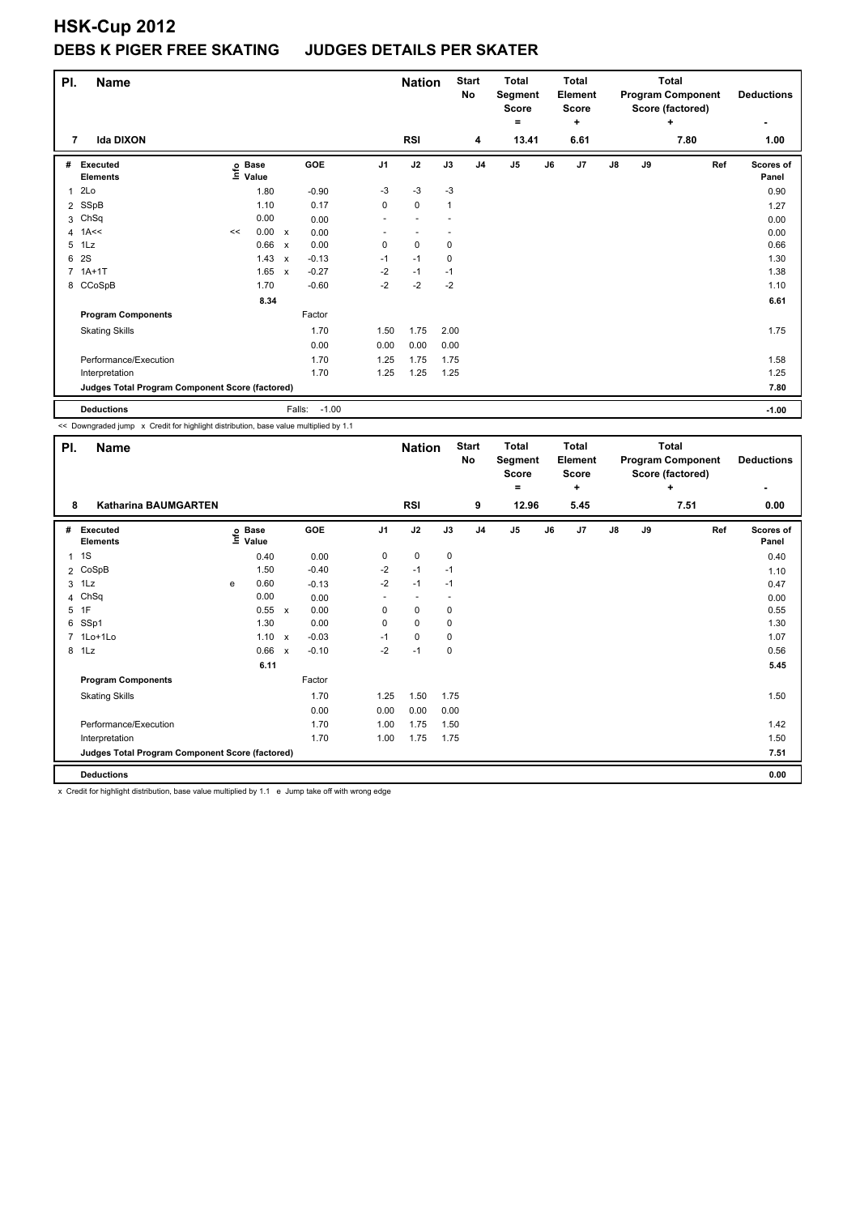| PI.            | Name                                            |    |                   |                           | <b>Nation</b>     |                | <b>Start</b><br>No | <b>Total</b><br>Segment<br>Score<br>۰ |                | <b>Total</b><br>Element<br><b>Score</b><br>٠ |    |      | <b>Total</b><br><b>Program Component</b><br>Score (factored)<br>÷ | <b>Deductions</b> |      |                           |
|----------------|-------------------------------------------------|----|-------------------|---------------------------|-------------------|----------------|--------------------|---------------------------------------|----------------|----------------------------------------------|----|------|-------------------------------------------------------------------|-------------------|------|---------------------------|
| 7              | <b>Ida DIXON</b>                                |    |                   |                           |                   |                | <b>RSI</b>         |                                       | 4              | 13.41                                        |    | 6.61 |                                                                   |                   | 7.80 | 1.00                      |
| #              | Executed<br><b>Elements</b>                     |    | e Base<br>⊑ Value |                           | GOE               | J <sub>1</sub> | J2                 | J3                                    | J <sub>4</sub> | J5                                           | J6 | J7   | $\mathsf{J}8$                                                     | J9                | Ref  | <b>Scores of</b><br>Panel |
| 1              | 2Lo                                             |    | 1.80              |                           | $-0.90$           | $-3$           | $-3$               | $-3$                                  |                |                                              |    |      |                                                                   |                   |      | 0.90                      |
| $\overline{2}$ | SSpB                                            |    | 1.10              |                           | 0.17              | 0              | $\mathbf 0$        | $\mathbf{1}$                          |                |                                              |    |      |                                                                   |                   |      | 1.27                      |
| 3              | ChSq                                            |    | 0.00              |                           | 0.00              | ٠              |                    |                                       |                |                                              |    |      |                                                                   |                   |      | 0.00                      |
| 4              | 1A<<                                            | << | 0.00              | $\mathsf{x}$              | 0.00              | ٠              |                    |                                       |                |                                              |    |      |                                                                   |                   |      | 0.00                      |
| 5              | 1Lz                                             |    | 0.66              | $\boldsymbol{\mathsf{x}}$ | 0.00              | 0              | $\mathbf 0$        | 0                                     |                |                                              |    |      |                                                                   |                   |      | 0.66                      |
| 6              | 2S                                              |    | 1.43              | $\boldsymbol{\mathsf{x}}$ | $-0.13$           | $-1$           | $-1$               | $\mathbf 0$                           |                |                                              |    |      |                                                                   |                   |      | 1.30                      |
| $\overline{7}$ | $1A+1T$                                         |    | 1.65              | $\mathsf{x}$              | $-0.27$           | $-2$           | $-1$               | $-1$                                  |                |                                              |    |      |                                                                   |                   |      | 1.38                      |
|                | 8 CCoSpB                                        |    | 1.70              |                           | $-0.60$           | $-2$           | $-2$               | $-2$                                  |                |                                              |    |      |                                                                   |                   |      | 1.10                      |
|                |                                                 |    | 8.34              |                           |                   |                |                    |                                       |                |                                              |    |      |                                                                   |                   |      | 6.61                      |
|                | <b>Program Components</b>                       |    |                   |                           | Factor            |                |                    |                                       |                |                                              |    |      |                                                                   |                   |      |                           |
|                | <b>Skating Skills</b>                           |    |                   |                           | 1.70              | 1.50           | 1.75               | 2.00                                  |                |                                              |    |      |                                                                   |                   |      | 1.75                      |
|                |                                                 |    |                   |                           | 0.00              | 0.00           | 0.00               | 0.00                                  |                |                                              |    |      |                                                                   |                   |      |                           |
|                | Performance/Execution                           |    |                   |                           | 1.70              | 1.25           | 1.75               | 1.75                                  |                |                                              |    |      |                                                                   |                   |      | 1.58                      |
|                | Interpretation                                  |    |                   |                           | 1.70              | 1.25           | 1.25               | 1.25                                  |                |                                              |    |      |                                                                   |                   |      | 1.25                      |
|                | Judges Total Program Component Score (factored) |    |                   |                           |                   |                |                    |                                       |                |                                              |    |      |                                                                   |                   |      | 7.80                      |
|                | <b>Deductions</b>                               |    |                   |                           | $-1.00$<br>Falls: |                |                    |                                       |                |                                              |    |      |                                                                   |                   |      | $-1.00$                   |

<< Downgraded jump x Credit for highlight distribution, base value multiplied by 1.1

| PI.          | <b>Name</b>                                     |   |                                  |                           |         |                | <b>Nation</b> |      | <b>Start</b><br>No | <b>Total</b><br>Segment<br><b>Score</b> |    | <b>Total</b><br>Element<br><b>Score</b> |    |    | <b>Total</b><br><b>Program Component</b><br>Score (factored) | <b>Deductions</b>  |
|--------------|-------------------------------------------------|---|----------------------------------|---------------------------|---------|----------------|---------------|------|--------------------|-----------------------------------------|----|-----------------------------------------|----|----|--------------------------------------------------------------|--------------------|
|              |                                                 |   |                                  |                           |         |                |               |      |                    | $=$                                     |    | ٠                                       |    |    | ٠                                                            |                    |
| 8            | Katharina BAUMGARTEN                            |   |                                  |                           |         |                | <b>RSI</b>    |      | 9                  | 12.96                                   |    | 5.45                                    |    |    | 7.51                                                         | 0.00               |
| #            | <b>Executed</b><br><b>Elements</b>              |   | <b>Base</b><br>e Base<br>⊆ Value |                           | GOE     | J <sub>1</sub> | J2            | J3   | J <sub>4</sub>     | J <sub>5</sub>                          | J6 | J7                                      | J8 | J9 | Ref                                                          | Scores of<br>Panel |
| $\mathbf{1}$ | 1S                                              |   | 0.40                             |                           | 0.00    | 0              | $\mathbf 0$   | 0    |                    |                                         |    |                                         |    |    |                                                              | 0.40               |
|              | 2 CoSpB                                         |   | 1.50                             |                           | $-0.40$ | $-2$           | $-1$          | $-1$ |                    |                                         |    |                                         |    |    |                                                              | 1.10               |
| 3            | 1Lz                                             | e | 0.60                             |                           | $-0.13$ | $-2$           | $-1$          | $-1$ |                    |                                         |    |                                         |    |    |                                                              | 0.47               |
|              | 4 ChSq                                          |   | 0.00                             |                           | 0.00    | ٠              |               |      |                    |                                         |    |                                         |    |    |                                                              | 0.00               |
|              | 5 1F                                            |   | 0.55                             | $\mathsf{x}$              | 0.00    | 0              | $\mathbf 0$   | 0    |                    |                                         |    |                                         |    |    |                                                              | 0.55               |
| 6            | SSp1                                            |   | 1.30                             |                           | 0.00    | 0              | $\mathbf 0$   | 0    |                    |                                         |    |                                         |    |    |                                                              | 1.30               |
|              | 7 1Lo+1Lo                                       |   | 1.10                             | $\mathsf{x}$              | $-0.03$ | $-1$           | $\mathbf 0$   | 0    |                    |                                         |    |                                         |    |    |                                                              | 1.07               |
| 8            | 1Lz                                             |   | 0.66                             | $\boldsymbol{\mathsf{x}}$ | $-0.10$ | $-2$           | $-1$          | 0    |                    |                                         |    |                                         |    |    |                                                              | 0.56               |
|              |                                                 |   | 6.11                             |                           |         |                |               |      |                    |                                         |    |                                         |    |    |                                                              | 5.45               |
|              | <b>Program Components</b>                       |   |                                  |                           | Factor  |                |               |      |                    |                                         |    |                                         |    |    |                                                              |                    |
|              | <b>Skating Skills</b>                           |   |                                  |                           | 1.70    | 1.25           | 1.50          | 1.75 |                    |                                         |    |                                         |    |    |                                                              | 1.50               |
|              |                                                 |   |                                  |                           | 0.00    | 0.00           | 0.00          | 0.00 |                    |                                         |    |                                         |    |    |                                                              |                    |
|              | Performance/Execution                           |   |                                  |                           | 1.70    | 1.00           | 1.75          | 1.50 |                    |                                         |    |                                         |    |    |                                                              | 1.42               |
|              | Interpretation                                  |   |                                  |                           | 1.70    | 1.00           | 1.75          | 1.75 |                    |                                         |    |                                         |    |    |                                                              | 1.50               |
|              | Judges Total Program Component Score (factored) |   |                                  |                           |         |                |               |      |                    |                                         |    |                                         |    |    |                                                              | 7.51               |
|              | <b>Deductions</b>                               |   |                                  |                           |         |                |               |      |                    |                                         |    |                                         |    |    |                                                              | 0.00               |

x Credit for highlight distribution, base value multiplied by 1.1 e Jump take off with wrong edge